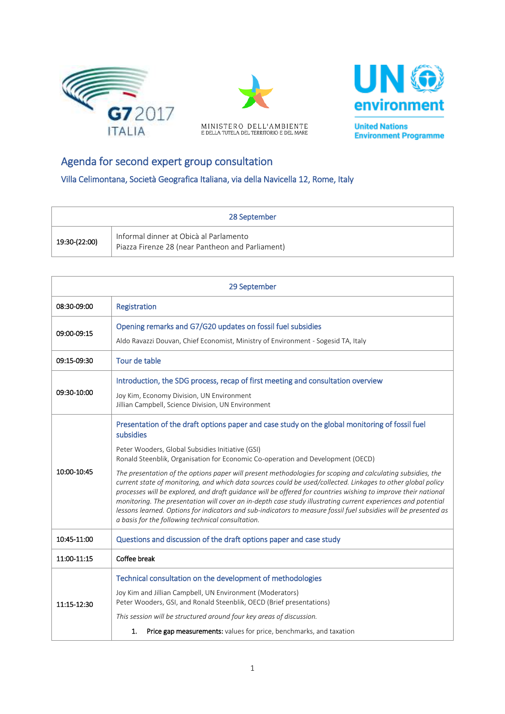





**United Nations Environment Programme** 

## Agenda for second expert group consultation

Villa Celimontana, Società Geografica Italiana, via della Navicella 12, Rome, Italy

| 28 September  |                                                                                            |  |
|---------------|--------------------------------------------------------------------------------------------|--|
| 19:30-(22:00) | Informal dinner at Obicà al Parlamento<br>Piazza Firenze 28 (near Pantheon and Parliament) |  |

| 29 September |                                                                                                                                                                                                                                                                                                                                                                                                                                                                                                                                                                                                                                         |  |
|--------------|-----------------------------------------------------------------------------------------------------------------------------------------------------------------------------------------------------------------------------------------------------------------------------------------------------------------------------------------------------------------------------------------------------------------------------------------------------------------------------------------------------------------------------------------------------------------------------------------------------------------------------------------|--|
| 08:30-09:00  | Registration                                                                                                                                                                                                                                                                                                                                                                                                                                                                                                                                                                                                                            |  |
| 09:00-09:15  | Opening remarks and G7/G20 updates on fossil fuel subsidies                                                                                                                                                                                                                                                                                                                                                                                                                                                                                                                                                                             |  |
|              | Aldo Ravazzi Douvan, Chief Economist, Ministry of Environment - Sogesid TA, Italy                                                                                                                                                                                                                                                                                                                                                                                                                                                                                                                                                       |  |
| 09:15-09:30  | Tour de table                                                                                                                                                                                                                                                                                                                                                                                                                                                                                                                                                                                                                           |  |
| 09:30-10:00  | Introduction, the SDG process, recap of first meeting and consultation overview                                                                                                                                                                                                                                                                                                                                                                                                                                                                                                                                                         |  |
|              | Joy Kim, Economy Division, UN Environment<br>Jillian Campbell, Science Division, UN Environment                                                                                                                                                                                                                                                                                                                                                                                                                                                                                                                                         |  |
| 10:00-10:45  | Presentation of the draft options paper and case study on the global monitoring of fossil fuel<br>subsidies                                                                                                                                                                                                                                                                                                                                                                                                                                                                                                                             |  |
|              | Peter Wooders, Global Subsidies Initiative (GSI)<br>Ronald Steenblik, Organisation for Economic Co-operation and Development (OECD)                                                                                                                                                                                                                                                                                                                                                                                                                                                                                                     |  |
|              | The presentation of the options paper will present methodologies for scoping and calculating subsidies, the<br>current state of monitoring, and which data sources could be used/collected. Linkages to other global policy<br>processes will be explored, and draft guidance will be offered for countries wishing to improve their national<br>monitoring. The presentation will cover an in-depth case study illustrating current experiences and potential<br>lessons learned. Options for indicators and sub-indicators to measure fossil fuel subsidies will be presented as<br>a basis for the following technical consultation. |  |
| 10:45-11:00  | Questions and discussion of the draft options paper and case study                                                                                                                                                                                                                                                                                                                                                                                                                                                                                                                                                                      |  |
| 11:00-11:15  | Coffee break                                                                                                                                                                                                                                                                                                                                                                                                                                                                                                                                                                                                                            |  |
| 11:15-12:30  | Technical consultation on the development of methodologies                                                                                                                                                                                                                                                                                                                                                                                                                                                                                                                                                                              |  |
|              | Joy Kim and Jillian Campbell, UN Environment (Moderators)<br>Peter Wooders, GSI, and Ronald Steenblik, OECD (Brief presentations)                                                                                                                                                                                                                                                                                                                                                                                                                                                                                                       |  |
|              | This session will be structured around four key areas of discussion.                                                                                                                                                                                                                                                                                                                                                                                                                                                                                                                                                                    |  |
|              | Price gap measurements: values for price, benchmarks, and taxation<br>1.                                                                                                                                                                                                                                                                                                                                                                                                                                                                                                                                                                |  |